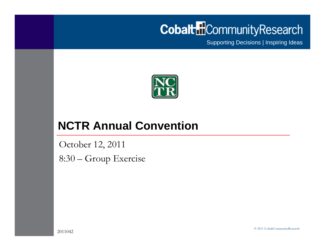# **Cobalt** Community Research

Supporting Decisions | Inspiring Ideas



#### **NCTR Annual Convention**

October 12, 2011 8:30 – Group Exercise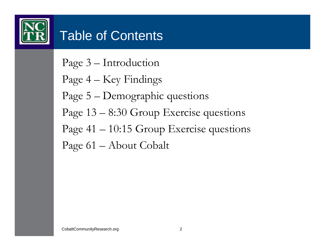

# Table of Contents

Page 3 – Introduction

Page 4 – Key Findings

Page 5 – Demographic questions

Page 13 – 8:30 Group Exercise questions

Page 41 – 10:15 Group Exercise questions

Page 61 – About Cobalt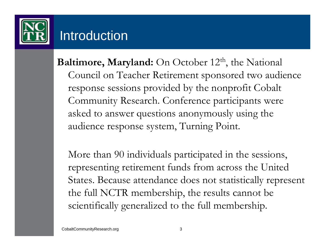

## **Introduction**

**Baltimore, Maryland:** On October 12<sup>th</sup>, the National Council on Teacher Retirement sponsored two audience response sessions provided by the nonprofit Cobalt Community Research. Conference participants were asked to answer questions anonymously using the audience response system, Turning Point.

More than 90 individuals participated in the sessions, representing retirement funds from across the United States. Because attendance does not statistically represent the full NCTR membership, the results cannot be scientifically generalized to the full membership.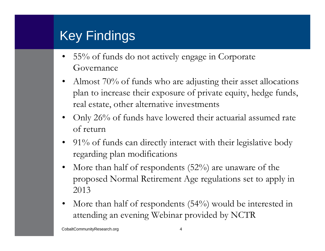## Key Findings

- $\bullet$  55% of funds do not actively engage in Corporate Governance
- • Almost 70% of funds who are adjusting their asset allocations plan to increase their exposure of private equity, hedge funds, real estate, other alternative investments
- • Only 26% of funds have lowered their actuarial assumed rate of return
- 91% of funds can directly interact with their legislative body regarding plan modifications
- • More than half of respondents (52%) are unaware of the proposed Normal Retirement Age regulations set to apply in 2013
- • More than half of respondents (54%) would be interested in attending an evening Webinar provided by NCTR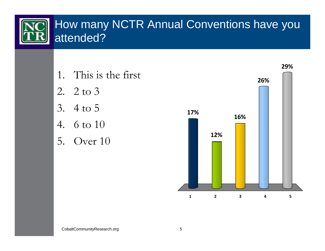#### How many NCTR Annual Conventions have you attended?

- 1. This is the first
- 2. 2 to 3
- 3. 4 to 5
- 4. 6 to 10
- 5. Over 10

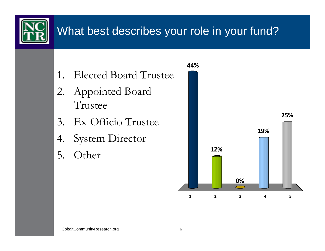

## What best describes your role in your fund?

- 1. Elected Board Trustee
- 2. Appointed Board Trustee
- 3. Ex-Officio Trustee
- 4. System Director
- 5. Other

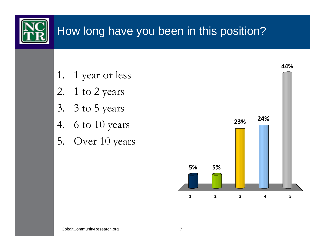

## How long have you been in this position?

- 1. 1 year or less
- 2. 1 to 2 years
- 3. 3 to 5 years
- 4. 6 to 10 years
- 5. Over 10 years

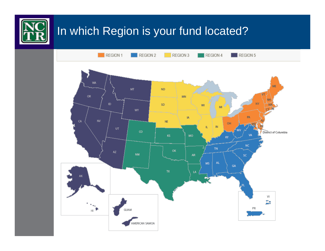

### In which Region is your fund located?

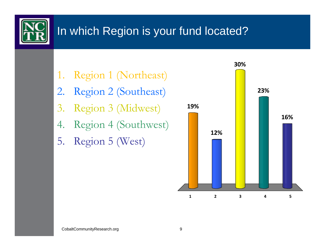

## In which Region is your fund located?

- 1. Region 1 (Northeast)
- 2. Region 2 (Southeast)
- 3. Region 3 (Midwest)
- 4. Region 4 (Southwest)
- 5. Region 5 (West)

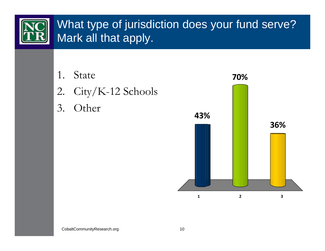

## What type of jurisdiction does your fund serve? Mark all that apply.

- 
- 2. City/K-12 Schools
- 3. Other

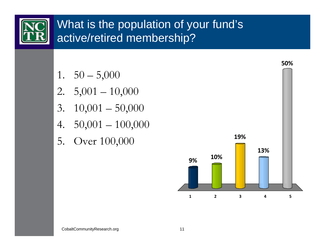

## What is the population of your fund's active/retired membership?

- 1.  $50 5,000$
- 2.  $5,001 10,000$
- 3.  $10,001 50,000$
- 4. 50,001 100,000
- 5. Over 100,000

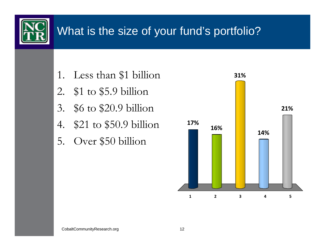

## What is the size of your fund's portfolio?

- 1. Less than \$1 billion **31%**
- 2. \$1 to \$5.9 billion
- 3. \$6 to \$20.9 billion
- 4. \$21 to \$50.9 billion
- 5. Over \$50 billion

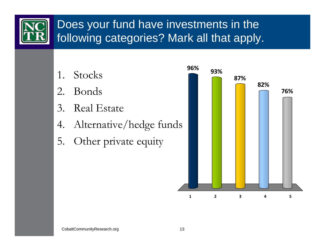

## Does your fund have investments in the following categories? Mark all that apply.

- 
- 2. Bonds
- 3. Real Estate
- 4. Alternative/hedge funds
- 5. Other private equity

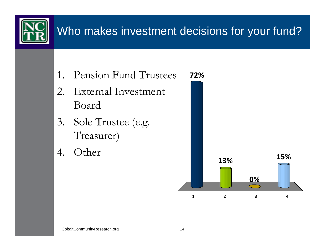## Who makes investment decisions for your fund?

- 1. Pension Fund Trustees
- 2. External Investment Board
- 3. Sole Trustee (e.g. Treasurer)
- 4. Other

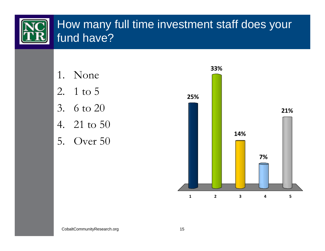### How many full time investment staff does your fund have?

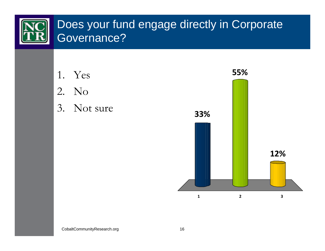#### Does your fund engage directly in Corporate Governance?



3. Not sure



CobaltCommunityResearch.org 16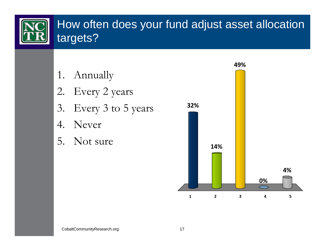

#### How often does your fund adjust asset allocation targets?

- 1. Annually
- 2. Every 2 years
- 3. Every 3 to 5 years
- 4. Never
- 5. Not sure

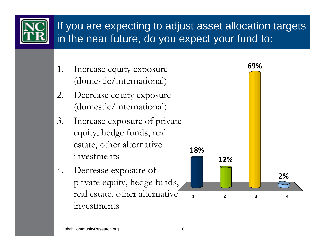![](_page_17_Picture_0.jpeg)

#### If you are expecting to adjust asset allocation targets in the near future, do you expect your fund to:

- 1. Increase equity exposure (domestic/international)
- 2. Decrease equity exposure (domestic/international)
- 3. Increase exposure of private equity, hedge funds, real estate, other alternative investments
- 4. Decrease exposure of private equity, hedge funds, real estate, other alternative investments

![](_page_17_Figure_6.jpeg)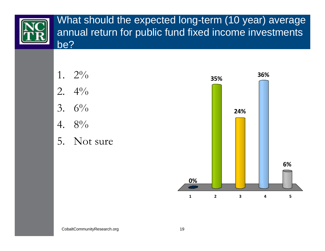![](_page_18_Picture_0.jpeg)

What should the expected long-term (10 year) average annual return for public fund fixed income investments be?

![](_page_18_Figure_2.jpeg)

5. Not sure

![](_page_18_Figure_4.jpeg)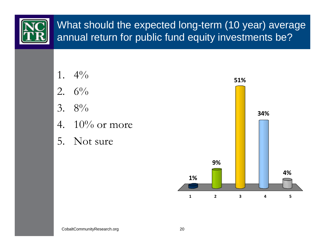![](_page_19_Picture_0.jpeg)

#### What should the expected long-term (10 year) average annual return for public fund equity investments be?

- 2.  $6\%$ 3.  $8\%$
- 4.  $10\%$  or more
- 5. Not sure

![](_page_19_Figure_5.jpeg)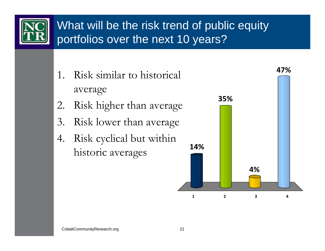![](_page_20_Picture_0.jpeg)

## What will be the risk trend of public equity portfolios over the next 10 years?

- 1. Risk similar to historical average
- 2. Risk higher than average
- 3. Risk lower than average
- 4. Risk cyclical but within historic averages

![](_page_20_Figure_6.jpeg)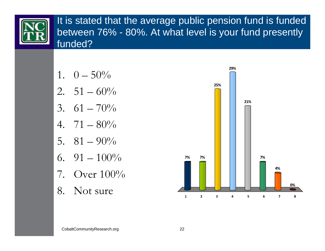![](_page_21_Picture_0.jpeg)

It is stated that the average public pension fund is funded between 76% - 80%. At what level is your fund presently funded?

![](_page_21_Figure_2.jpeg)

- 7. Over 100%
- 8. Not sure

![](_page_21_Figure_5.jpeg)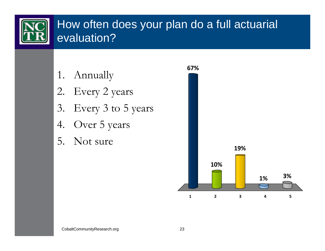![](_page_22_Picture_0.jpeg)

### How often does your plan do a full actuarial evaluation?

- 1. Annually
- 2. Every 2 years
- 3. Every 3 to 5 years
- 4. Over 5 years
- 5. Not sure

![](_page_22_Figure_7.jpeg)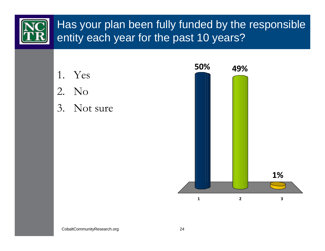#### Has your plan been fully funded by the responsible entity each year for the past 10 years?

![](_page_23_Figure_2.jpeg)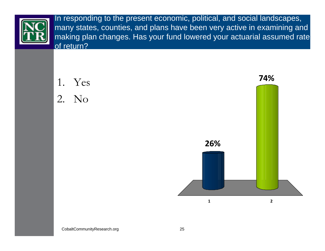![](_page_24_Picture_0.jpeg)

In responding to the present economic, political, and social landscapes, many states, counties, and plans have been very active in examining and making plan changes. Has your fund lowered your actuarial assumed rate of return?

![](_page_24_Figure_2.jpeg)

![](_page_24_Figure_3.jpeg)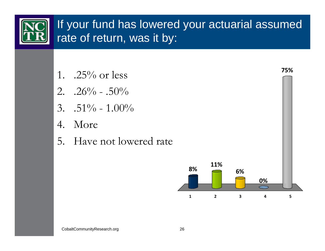## If your fund has lowered your actuarial assumed rate of return, was it by:

- 1.  $.25\%$  or less
- 2.  $.26\%$   $.50\%$
- 3.  $.51\% 1.00\%$
- 4. More
- 5. Have not lowered rate

![](_page_25_Figure_7.jpeg)

**75%**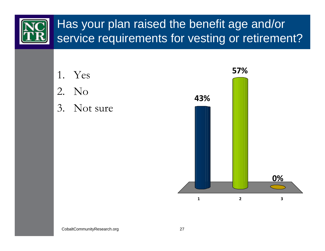## Has your plan raised the benefit age and/or service requirements for vesting or retirement?

![](_page_26_Figure_1.jpeg)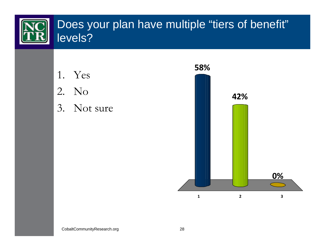#### Does your plan have multiple "tiers of benefit" levels?

- 1. Yes
- 2. No
- 3. Not sure

![](_page_27_Figure_5.jpeg)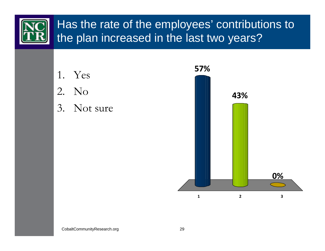![](_page_28_Picture_0.jpeg)

![](_page_28_Figure_1.jpeg)

3. Not sure

![](_page_28_Figure_3.jpeg)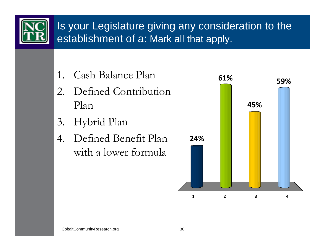![](_page_29_Picture_0.jpeg)

### Is your Legislature giving any consideration to the establishment of a: Mark all that apply.

- 1. Cash Balance Plan
- 2. Defined Contribution Plan
- 3. Hybrid Plan
- 4. Defined Benefit Plan with a lower formula

![](_page_29_Figure_6.jpeg)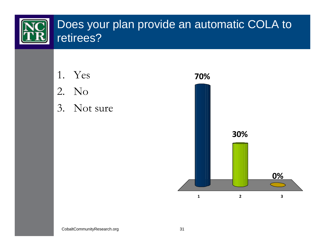#### Does your plan provide an automatic COLA to retirees?

- 1. Yes
- 2. No
- 3. Not sure

![](_page_30_Figure_5.jpeg)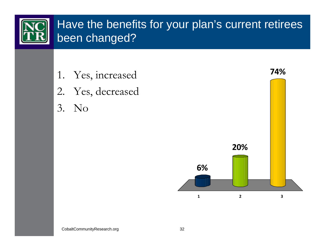![](_page_31_Picture_0.jpeg)

### Have the benefits for your plan's current retirees been changed?

- 1. Yes, increased
- 2. Yes, decreased
- 3. No

![](_page_31_Figure_5.jpeg)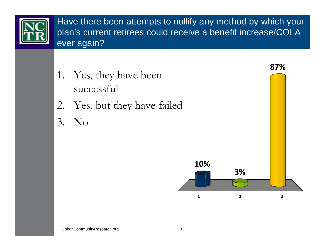![](_page_32_Picture_0.jpeg)

Have there been attempts to nullify any method by which your plan's current retirees could receive a benefit increase/COLA ever again?

- 1. Yes, they have been successful
- 2. Yes, but they have failed
- 3. No

![](_page_32_Figure_5.jpeg)

**87%**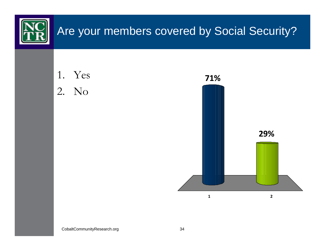![](_page_33_Figure_0.jpeg)

CobaltCommunityResearch.org 34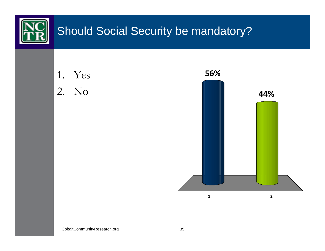![](_page_34_Figure_0.jpeg)

CobaltCommunityResearch.org 35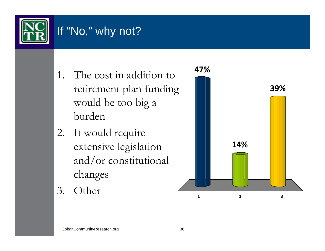![](_page_35_Picture_0.jpeg)

## If "No," why not?

- 1. The cost in addition to retirement plan funding would be too big a burden
- 2. It would require extensive legislation and/or constitutional changes
- 3. Other

![](_page_35_Figure_5.jpeg)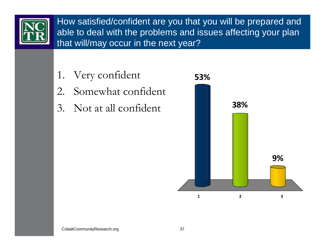![](_page_36_Picture_0.jpeg)

How satisfied/confident are you that you will be prepared and able to deal with the problems and issues affecting your plan that will/may occur in the next year?

- 1. Very confident
- 2. Somewhat confident
- 3. Not at all confident

![](_page_36_Figure_5.jpeg)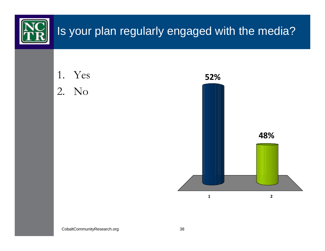![](_page_37_Figure_0.jpeg)

CobaltCommunityResearch.org 38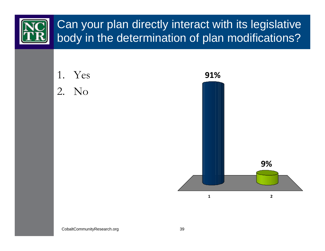## Can your plan directly interact with its legislative body in the determination of plan modifications?

![](_page_38_Figure_1.jpeg)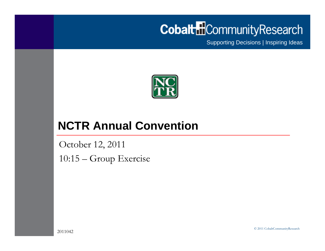# **Cobalt** Community Research

Supporting Decisions | Inspiring Ideas

![](_page_39_Picture_2.jpeg)

#### **NCTR Annual Convention**

October 12, 2011 10:15 – Group Exercise

© 2011 CobaltCommunityResearch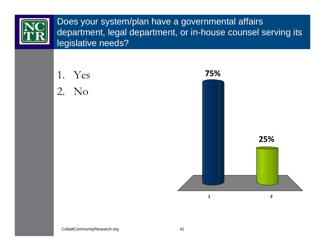![](_page_40_Picture_0.jpeg)

Does your system/plan have a governmental affairs department, legal department, or in-house counsel serving its legislative needs?

![](_page_40_Figure_2.jpeg)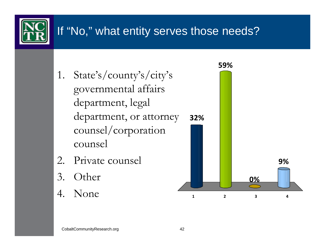## If "No," what entity serves those needs?

- 1. State's/county's/city's governmental affairs department, legal department, or attorney counsel/corporation counsel
- 2. Private counsel
- 3. Other
- 4. None

![](_page_41_Figure_5.jpeg)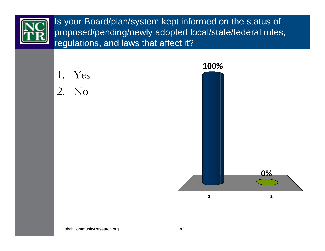![](_page_42_Picture_0.jpeg)

Is your Board/plan/system kept informed on the status of proposed/pending/newly adopted local/state/federal rules, regulations, and laws that affect it?

![](_page_42_Figure_2.jpeg)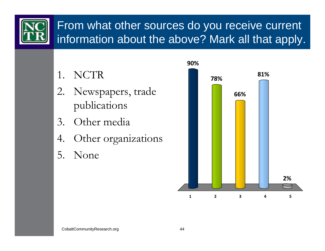![](_page_43_Picture_0.jpeg)

### From what other sources do you receive current information about the above? Mark all that apply.

- 1. NCTR
- 2. Newspapers, trade publications
- 3. Other media
- 4. Other organizations
- 5. None

![](_page_43_Figure_7.jpeg)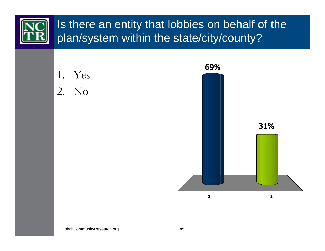![](_page_44_Picture_0.jpeg)

![](_page_44_Figure_1.jpeg)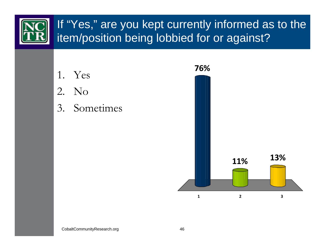### If "Yes," are you kept currently informed as to the item/position being lobbied for or against?

![](_page_45_Figure_1.jpeg)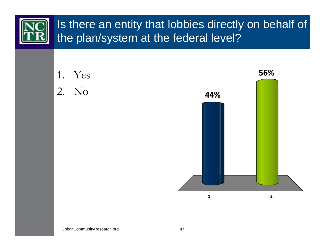## Is there an entity that lobbies directly on behalf of the plan/system at the federal level?

![](_page_46_Figure_1.jpeg)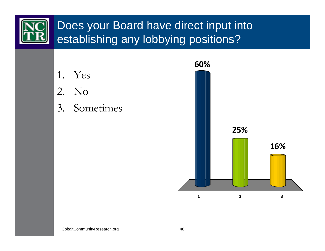![](_page_47_Picture_0.jpeg)

### Does your Board have direct input into establishing any lobbying positions?

![](_page_47_Figure_2.jpeg)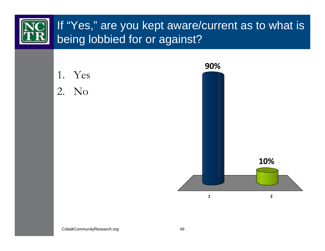# If "Yes," are you kept aware/current as to what is being lobbied for or against?

![](_page_48_Figure_1.jpeg)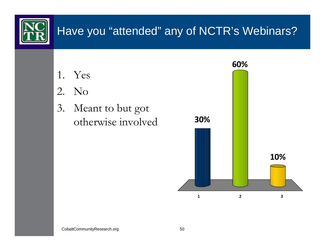![](_page_49_Picture_0.jpeg)

## Have you "attended" any of NCTR's Webinars?

- 1. Yes
- 2. No
- 3. Meant to but got otherwise involved

![](_page_49_Figure_5.jpeg)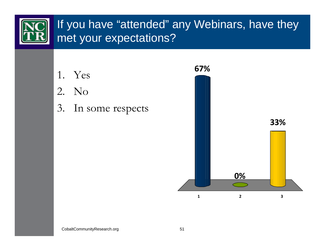## If you have "attended" any Webinars, have they met your expectations?

- 1. Yes
- 2. No
- 3. In some respects

![](_page_50_Figure_4.jpeg)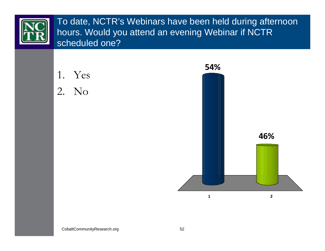![](_page_51_Picture_0.jpeg)

To date, NCTR's Webinars have been held during afternoon hours. Would you attend an evening Webinar if NCTR scheduled one?

![](_page_51_Figure_2.jpeg)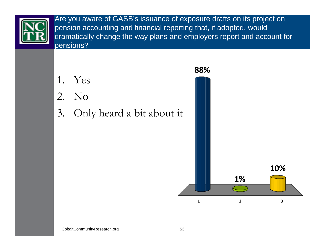![](_page_52_Picture_0.jpeg)

Are you aware of GASB's issuance of exposure drafts on its project on pension accounting and financial reporting that, if adopted, would dramatically change the way plans and employers report and account for pensions?

- 1. Yes
- 2. No
- 3. Only heard a bit about it

![](_page_52_Figure_5.jpeg)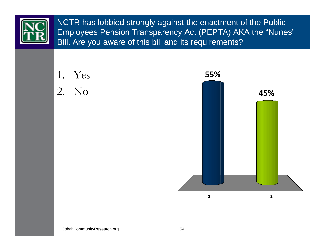![](_page_53_Picture_0.jpeg)

NCTR has lobbied strongly against the enactment of the Public Employees Pension Transparency Act (PEPTA) AKA the "Nunes" Bill. Are you aware of this bill and its requirements?

![](_page_53_Figure_2.jpeg)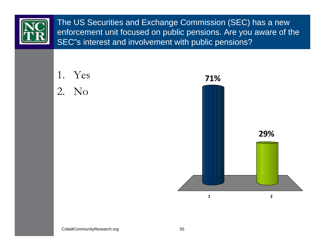![](_page_54_Picture_0.jpeg)

The US Securities and Exchange Commission (SEC) has a new enforcement unit focused on public pensions. Are you aware of the SEC"s interest and involvement with public pensions?

![](_page_54_Figure_2.jpeg)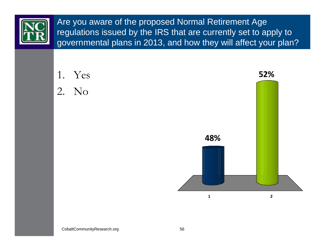![](_page_55_Picture_0.jpeg)

Are you aware of the proposed Normal Retirement Age regulations issued by the IRS that are currently set to apply to governmental plans in 2013, and how they will affect your plan?

![](_page_55_Figure_2.jpeg)

 $\overline{2}$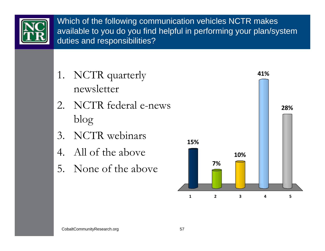![](_page_56_Picture_0.jpeg)

Which of the following communication vehicles NCTR makes available to you do you find helpful in performing your plan/system duties and responsibilities?

- 1. NCTR quarterly newsletter
- 2. NCTR federal e-news blog
- 3. NCTR webinars
- 4. All of the above
- 5. None of the above

![](_page_56_Figure_7.jpeg)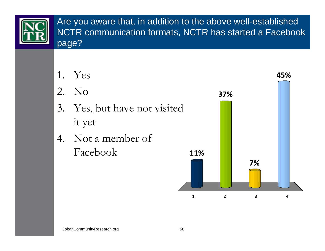![](_page_57_Picture_0.jpeg)

Are you aware that, in addition to the above well-established NCTR communication formats, NCTR has started a Facebook page?

- 1. Yes
- 2. No
- 3. Yes, but have not visited it yet
- 4. Not a member of Facebook

![](_page_57_Figure_6.jpeg)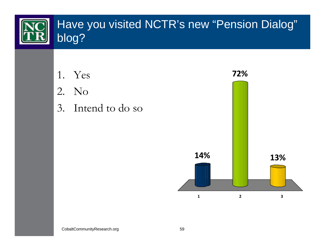![](_page_58_Picture_0.jpeg)

- 
- 2. No
- 3. Intend to do so

![](_page_58_Figure_4.jpeg)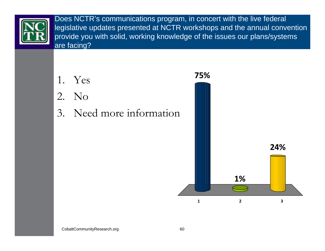![](_page_59_Picture_0.jpeg)

Does NCTR's communications program, in concert with the live federal legislative updates presented at NCTR workshops and the annual convention provide you with solid, working knowledge of the issues our plans/systems are facing?

- 1. Yes
- 2. No
- 3. Need more information

![](_page_59_Figure_5.jpeg)